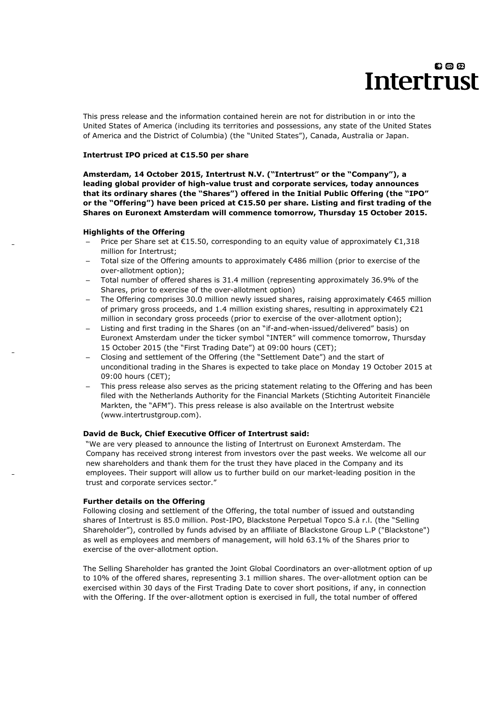This press release and the information contained herein are not for distribution in or into the United States of America (including its territories and possessions, any state of the United States of America and the District of Columbia) (the "United States"), Canada, Australia or Japan.

### **Intertrust IPO priced at €15.50 per share**

**Amsterdam, 14 October 2015, Intertrust N.V. ("Intertrust" or the "Company"), a leading global provider of high-value trust and corporate services, today announces that its ordinary shares (the "Shares") offered in the Initial Public Offering (the "IPO" or the "Offering") have been priced at €15.50 per share. Listing and first trading of the Shares on Euronext Amsterdam will commence tomorrow, Thursday 15 October 2015.**

### **Highlights of the Offering**

- Price per Share set at €15.50, corresponding to an equity value of approximately €1,318 million for Intertrust;
- Total size of the Offering amounts to approximately €486 million (prior to exercise of the over-allotment option);
- ‒ Total number of offered shares is 31.4 million (representing approximately 36.9% of the Shares, prior to exercise of the over-allotment option)
- ‒ The Offering comprises 30.0 million newly issued shares, raising approximately €465 million of primary gross proceeds, and 1.4 million existing shares, resulting in approximately  $E21$ million in secondary gross proceeds (prior to exercise of the over-allotment option);
- ‒ Listing and first trading in the Shares (on an "if-and-when-issued/delivered" basis) on Euronext Amsterdam under the ticker symbol "INTER" will commence tomorrow, Thursday 15 October 2015 (the "First Trading Date") at 09:00 hours (CET);
- ‒ Closing and settlement of the Offering (the "Settlement Date") and the start of unconditional trading in the Shares is expected to take place on Monday 19 October 2015 at 09:00 hours (CET);
- This press release also serves as the pricing statement relating to the Offering and has been filed with the Netherlands Authority for the Financial Markets (Stichting Autoriteit Financiële Markten, the "AFM"). This press release is also available on the Intertrust website (www.intertrustgroup.com).

### **David de Buck, Chief Executive Officer of Intertrust said:**

"We are very pleased to announce the listing of Intertrust on Euronext Amsterdam. The Company has received strong interest from investors over the past weeks. We welcome all our new shareholders and thank them for the trust they have placed in the Company and its employees. Their support will allow us to further build on our market-leading position in the trust and corporate services sector."

### **Further details on the Offering**

Following closing and settlement of the Offering, the total number of issued and outstanding shares of Intertrust is 85.0 million. Post-IPO, Blackstone Perpetual Topco S.à r.l. (the "Selling Shareholder"), controlled by funds advised by an affiliate of Blackstone Group L.P ("Blackstone") as well as employees and members of management, will hold 63.1% of the Shares prior to exercise of the over-allotment option.

The Selling Shareholder has granted the Joint Global Coordinators an over-allotment option of up to 10% of the offered shares, representing 3.1 million shares. The over-allotment option can be exercised within 30 days of the First Trading Date to cover short positions, if any, in connection with the Offering. If the over-allotment option is exercised in full, the total number of offered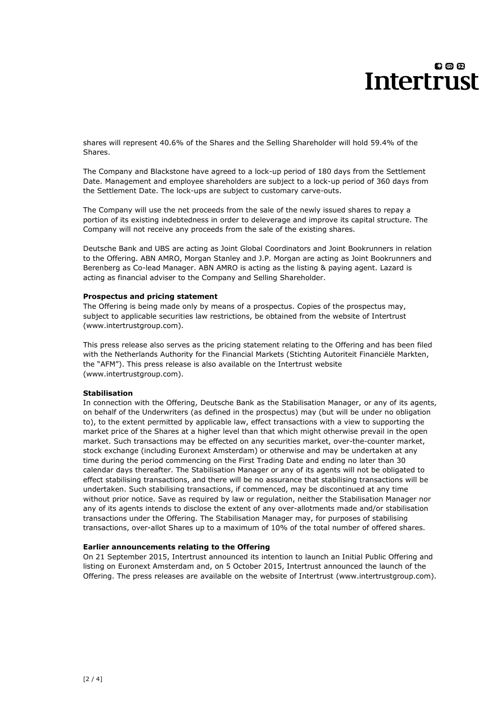shares will represent 40.6% of the Shares and the Selling Shareholder will hold 59.4% of the Shares.

The Company and Blackstone have agreed to a lock-up period of 180 days from the Settlement Date. Management and employee shareholders are subject to a lock-up period of 360 days from the Settlement Date. The lock-ups are subject to customary carve-outs.

The Company will use the net proceeds from the sale of the newly issued shares to repay a portion of its existing indebtedness in order to deleverage and improve its capital structure. The Company will not receive any proceeds from the sale of the existing shares.

Deutsche Bank and UBS are acting as Joint Global Coordinators and Joint Bookrunners in relation to the Offering. ABN AMRO, Morgan Stanley and J.P. Morgan are acting as Joint Bookrunners and Berenberg as Co-lead Manager. ABN AMRO is acting as the listing & paying agent. Lazard is acting as financial adviser to the Company and Selling Shareholder.

## **Prospectus and pricing statement**

The Offering is being made only by means of a prospectus. Copies of the prospectus may, subject to applicable securities law restrictions, be obtained from the website of Intertrust (www.intertrustgroup.com).

This press release also serves as the pricing statement relating to the Offering and has been filed with the Netherlands Authority for the Financial Markets (Stichting Autoriteit Financiële Markten, the "AFM"). This press release is also available on the Intertrust website (www.intertrustgroup.com).

## **Stabilisation**

In connection with the Offering, Deutsche Bank as the Stabilisation Manager, or any of its agents, on behalf of the Underwriters (as defined in the prospectus) may (but will be under no obligation to), to the extent permitted by applicable law, effect transactions with a view to supporting the market price of the Shares at a higher level than that which might otherwise prevail in the open market. Such transactions may be effected on any securities market, over-the-counter market, stock exchange (including Euronext Amsterdam) or otherwise and may be undertaken at any time during the period commencing on the First Trading Date and ending no later than 30 calendar days thereafter. The Stabilisation Manager or any of its agents will not be obligated to effect stabilising transactions, and there will be no assurance that stabilising transactions will be undertaken. Such stabilising transactions, if commenced, may be discontinued at any time without prior notice. Save as required by law or regulation, neither the Stabilisation Manager nor any of its agents intends to disclose the extent of any over-allotments made and/or stabilisation transactions under the Offering. The Stabilisation Manager may, for purposes of stabilising transactions, over-allot Shares up to a maximum of 10% of the total number of offered shares.

### **Earlier announcements relating to the Offering**

On 21 September 2015, Intertrust announced its intention to launch an Initial Public Offering and listing on Euronext Amsterdam and, on 5 October 2015, Intertrust announced the launch of the Offering. The press releases are available on the website of Intertrust (www.intertrustgroup.com).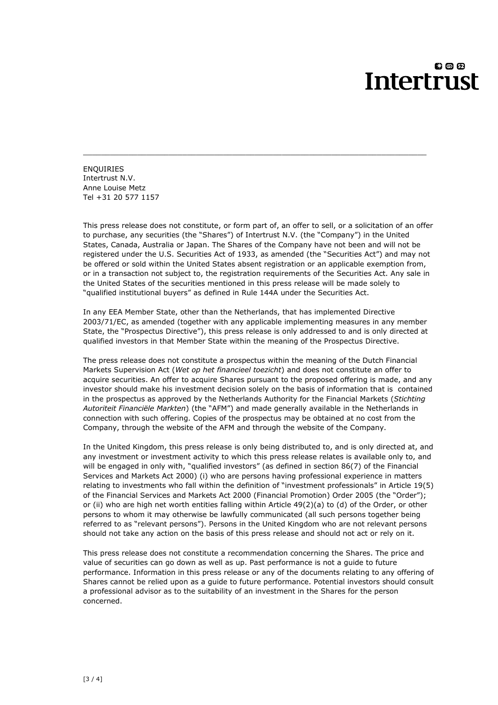ENQUIRIES Intertrust N.V. Anne Louise Metz Tel +31 20 577 1157

This press release does not constitute, or form part of, an offer to sell, or a solicitation of an offer to purchase, any securities (the "Shares") of Intertrust N.V. (the "Company") in the United States, Canada, Australia or Japan. The Shares of the Company have not been and will not be registered under the U.S. Securities Act of 1933, as amended (the "Securities Act") and may not be offered or sold within the United States absent registration or an applicable exemption from, or in a transaction not subject to, the registration requirements of the Securities Act. Any sale in the United States of the securities mentioned in this press release will be made solely to "qualified institutional buyers" as defined in Rule 144A under the Securities Act.

\_\_\_\_\_\_\_\_\_\_\_\_\_\_\_\_\_\_\_\_\_\_\_\_\_\_\_\_\_\_\_\_\_\_\_\_\_\_\_\_\_\_\_\_\_\_\_\_\_\_\_\_\_\_\_\_\_\_\_\_\_\_\_\_\_\_\_\_\_\_\_\_\_\_\_\_

In any EEA Member State, other than the Netherlands, that has implemented Directive 2003/71/EC, as amended (together with any applicable implementing measures in any member State, the "Prospectus Directive"), this press release is only addressed to and is only directed at qualified investors in that Member State within the meaning of the Prospectus Directive.

The press release does not constitute a prospectus within the meaning of the Dutch Financial Markets Supervision Act (*Wet op het financieel toezicht*) and does not constitute an offer to acquire securities. An offer to acquire Shares pursuant to the proposed offering is made, and any investor should make his investment decision solely on the basis of information that is contained in the prospectus as approved by the Netherlands Authority for the Financial Markets (*Stichting Autoriteit Financiële Markten*) (the "AFM") and made generally available in the Netherlands in connection with such offering. Copies of the prospectus may be obtained at no cost from the Company, through the website of the AFM and through the website of the Company.

In the United Kingdom, this press release is only being distributed to, and is only directed at, and any investment or investment activity to which this press release relates is available only to, and will be engaged in only with, "qualified investors" (as defined in section 86(7) of the Financial Services and Markets Act 2000) (i) who are persons having professional experience in matters relating to investments who fall within the definition of "investment professionals" in Article 19(5) of the Financial Services and Markets Act 2000 (Financial Promotion) Order 2005 (the "Order"); or (ii) who are high net worth entities falling within Article 49(2)(a) to (d) of the Order, or other persons to whom it may otherwise be lawfully communicated (all such persons together being referred to as "relevant persons"). Persons in the United Kingdom who are not relevant persons should not take any action on the basis of this press release and should not act or rely on it.

This press release does not constitute a recommendation concerning the Shares. The price and value of securities can go down as well as up. Past performance is not a guide to future performance. Information in this press release or any of the documents relating to any offering of Shares cannot be relied upon as a guide to future performance. Potential investors should consult a professional advisor as to the suitability of an investment in the Shares for the person concerned.